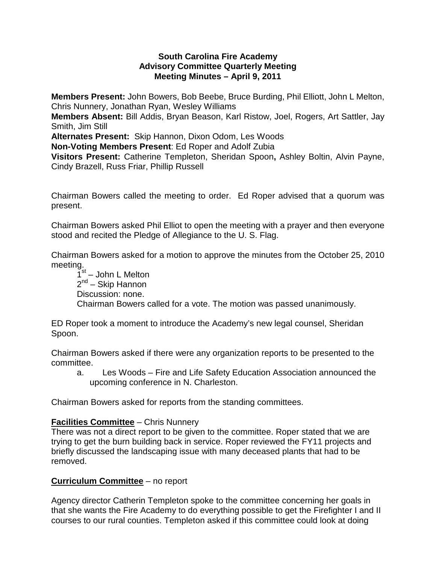## **South Carolina Fire Academy Advisory Committee Quarterly Meeting Meeting Minutes – April 9, 2011**

**Members Present:** John Bowers, Bob Beebe, Bruce Burding, Phil Elliott, John L Melton, Chris Nunnery, Jonathan Ryan, Wesley Williams

**Members Absent:** Bill Addis, Bryan Beason, Karl Ristow, Joel, Rogers, Art Sattler, Jay Smith, Jim Still

**Alternates Present:** Skip Hannon, Dixon Odom, Les Woods

**Non-Voting Members Present**: Ed Roper and Adolf Zubia

**Visitors Present:** Catherine Templeton, Sheridan Spoon**,** Ashley Boltin, Alvin Payne, Cindy Brazell, Russ Friar, Phillip Russell

Chairman Bowers called the meeting to order. Ed Roper advised that a quorum was present.

Chairman Bowers asked Phil Elliot to open the meeting with a prayer and then everyone stood and recited the Pledge of Allegiance to the U. S. Flag.

Chairman Bowers asked for a motion to approve the minutes from the October 25, 2010 meeting.

 $1<sup>st</sup>$  – John L Melton  $2<sup>nd</sup>$  – Skip Hannon Discussion: none. Chairman Bowers called for a vote. The motion was passed unanimously.

ED Roper took a moment to introduce the Academy's new legal counsel, Sheridan Spoon.

Chairman Bowers asked if there were any organization reports to be presented to the committee.

a. Les Woods – Fire and Life Safety Education Association announced the upcoming conference in N. Charleston.

Chairman Bowers asked for reports from the standing committees.

# **Facilities Committee** – Chris Nunnery

There was not a direct report to be given to the committee. Roper stated that we are trying to get the burn building back in service. Roper reviewed the FY11 projects and briefly discussed the landscaping issue with many deceased plants that had to be removed.

## **Curriculum Committee** – no report

Agency director Catherin Templeton spoke to the committee concerning her goals in that she wants the Fire Academy to do everything possible to get the Firefighter I and II courses to our rural counties. Templeton asked if this committee could look at doing